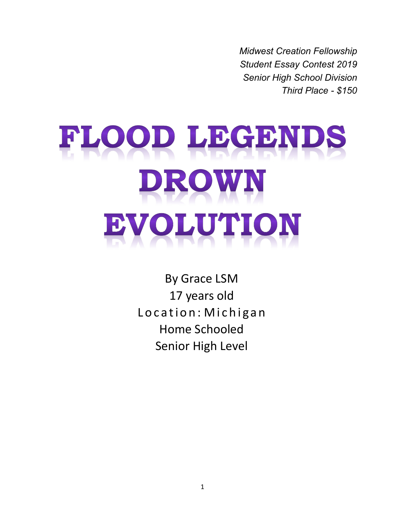*Midwest Creation Fellowship Student Essay Contest 2019 Senior High School Division Third Place - \$150*

# FLOOD LEGENDS DROWN VOLUTION IB)

By Grace LSM 17 years old Location: Michigan Home Schooled Senior High Level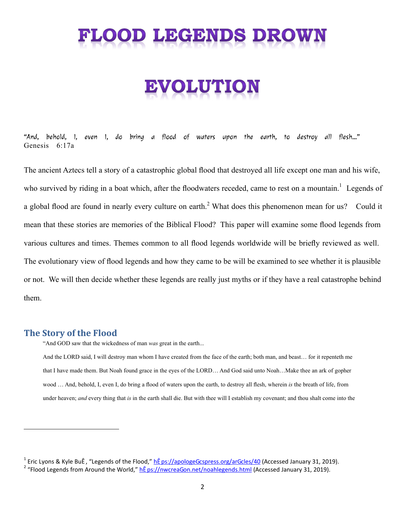# FLOOD LEGENDS DROW

# OLUTION

"And, behold, I, even I, do bring a flood of waters upon the earth, to destroy all flesh…" Genesis 6:17a

The ancient Aztecs tell a story of a catastrophic global flood that destroyed all life except one man and his wife, who survived by riding in a boat which, after the floodwaters receded, came to rest on a mountain.<sup>1</sup> Legends of a global flood are found in nearly every culture on earth.<sup>2</sup> What does this phenomenon mean for us? Could it mean that these stories are memories of the Biblical Flood? This paper will examine some flood legends from various cultures and times. Themes common to all flood legends worldwide will be briefly reviewed as well. The evolutionary view of flood legends and how they came to be will be examined to see whether it is plausible or not. We will then decide whether these legends are really just myths or if they have a real catastrophe behind them.

#### **The Story of the Flood**

"And GOD saw that the wickedness of man *was* great in the earth...

And the LORD said, I will destroy man whom I have created from the face of the earth; both man, and beast… for it repenteth me that I have made them. But Noah found grace in the eyes of the LORD… And God said unto Noah…Make thee an ark of gopher wood … And, behold, I, even I, do bring a flood of waters upon the earth, to destroy all flesh, wherein *is* the breath of life, from under heaven; *and* every thing that *is* in the earth shall die. But with thee will I establish my covenant; and thou shalt come into the

<sup>&</sup>lt;sup>1</sup> Eric Lyons & Kyle BuÊ, "Legends of the Flood," <u>hÊps://apologeGcspress.org/arGcles/40</u> (Accessed January 31, 2019). <sup>2</sup> "Flood Legends from Around the World," <u>hÊ ps://nwcreaGon.net/noahlegends.html</u> (Accessed January 31, 2019).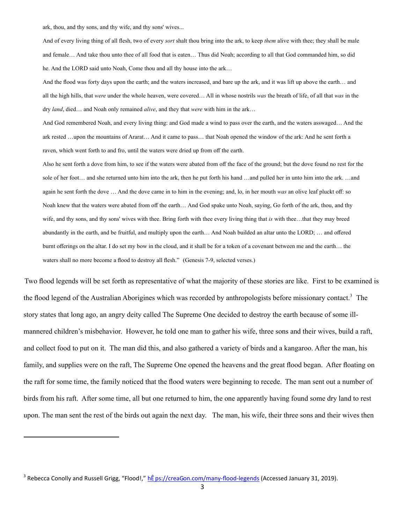ark, thou, and thy sons, and thy wife, and thy sons' wives...

And of every living thing of all flesh, two of every *sort* shalt thou bring into the ark, to keep *them* alive with thee; they shall be male and female… And take thou unto thee of all food that is eaten… Thus did Noah; according to all that God commanded him, so did he. And the LORD said unto Noah, Come thou and all thy house into the ark…

And the flood was forty days upon the earth; and the waters increased, and bare up the ark, and it was lift up above the earth… and all the high hills, that *were* under the whole heaven, were covered… All in whose nostrils *was* the breath of life, of all that *was* in the dry *land*, died… and Noah only remained *alive*, and they that *were* with him in the ark…

And God remembered Noah, and every living thing: and God made a wind to pass over the earth, and the waters asswaged… And the ark rested …upon the mountains of Ararat… And it came to pass… that Noah opened the window of the ark: And he sent forth a raven, which went forth to and fro, until the waters were dried up from off the earth.

Also he sent forth a dove from him, to see if the waters were abated from off the face of the ground; but the dove found no rest for the sole of her foot… and she returned unto him into the ark, then he put forth his hand …and pulled her in unto him into the ark. …and again he sent forth the dove … And the dove came in to him in the evening; and, lo, in her mouth *was* an olive leaf pluckt off: so Noah knew that the waters were abated from off the earth… And God spake unto Noah, saying, Go forth of the ark, thou, and thy wife, and thy sons, and thy sons' wives with thee. Bring forth with thee every living thing that *is* with thee…that they may breed abundantly in the earth, and be fruitful, and multiply upon the earth… And Noah builded an altar unto the LORD; … and offered burnt offerings on the altar. I do set my bow in the cloud, and it shall be for a token of a covenant between me and the earth… the waters shall no more become a flood to destroy all flesh." (Genesis 7-9, selected verses.)

Two flood legends will be set forth as representative of what the majority of these stories are like. First to be examined is the flood legend of the Australian Aborigines which was recorded by anthropologists before missionary contact.<sup>3</sup> The story states that long ago, an angry deity called The Supreme One decided to destroy the earth because of some illmannered children's misbehavior. However, he told one man to gather his wife, three sons and their wives, build a raft, and collect food to put on it. The man did this, and also gathered a variety of birds and a kangaroo. After the man, his family, and supplies were on the raft, The Supreme One opened the heavens and the great flood began. After floating on the raft for some time, the family noticed that the flood waters were beginning to recede. The man sent out a number of birds from his raft. After some time, all but one returned to him, the one apparently having found some dry land to rest upon. The man sent the rest of the birds out again the next day. The man, his wife, their three sons and their wives then

<sup>&</sup>lt;sup>3</sup> Rebecca Conolly and Russell Grigg, "Flood!," <u>hÊ ps://creaGon.com/many-flood-legends</u> (Accessed January 31, 2019).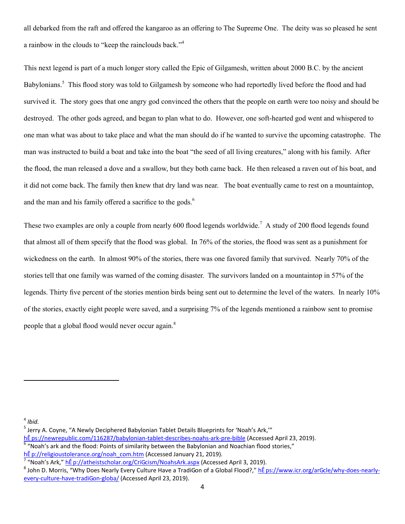all debarked from the raft and offered the kangaroo as an offering to The Supreme One. The deity was so pleased he sent a rainbow in the clouds to "keep the rainclouds back."<sup>4</sup>

This next legend is part of a much longer story called the Epic of Gilgamesh, written about 2000 B.C. by the ancient Babylonians.<sup>5</sup> This flood story was told to Gilgamesh by someone who had reportedly lived before the flood and had survived it. The story goes that one angry god convinced the others that the people on earth were too noisy and should be destroyed. The other gods agreed, and began to plan what to do. However, one soft-hearted god went and whispered to one man what was about to take place and what the man should do if he wanted to survive the upcoming catastrophe. The man was instructed to build a boat and take into the boat "the seed of all living creatures," along with his family. After the flood, the man released a dove and a swallow, but they both came back. He then released a raven out of his boat, and it did not come back. The family then knew that dry land was near. The boat eventually came to rest on a mountaintop, and the man and his family offered a sacrifice to the gods.<sup>6</sup>

These two examples are only a couple from nearly 600 flood legends worldwide.<sup>7</sup> A study of 200 flood legends found that almost all of them specify that the flood was global. In 76% of the stories, the flood was sent as a punishment for wickedness on the earth. In almost 90% of the stories, there was one favored family that survived. Nearly 70% of the stories tell that one family was warned of the coming disaster. The survivors landed on a mountaintop in 57% of the legends. Thirty five percent of the stories mention birds being sent out to determine the level of the waters. In nearly 10% of the stories, exactly eight people were saved, and a surprising 7% of the legends mentioned a rainbow sent to promise people that a global flood would never occur again.<sup>8</sup>

4 *Ibid.*

<sup>&</sup>lt;sup>5</sup> Jerry A. Coyne, "A Newly Deciphered Babylonian Tablet Details Blueprints for 'Noah's Ark,'"

hÊ ps://newrepublic.com/116287/babylonian-tablet-describes-noahs-ark-pre-bible (Accessed April 23, 2019).

 $^6$  "Noah's ark and the flood: Points of similarity between the Babylonian and Noachian flood stories,"

hÊ p://religioustolerance.org/noah\_com.htm (Accessed January 21, 2019).

<sup>&</sup>lt;sup>7</sup> "Noah's Ark," <u>hÊ p://atheistscholar.org/CriGcism/NoahsArk.aspx</u> (Accessed April 3, 2019).

<sup>&</sup>lt;sup>8</sup> John D. Morris, "Why Does Nearly Every Culture Have a TradiGon of a Global Flood?," <u>hÊps://www.icr.org/arGcle/why-does-nearly-</u> every-culture-have-tradiGon-globa/ (Accessed April 23, 2019).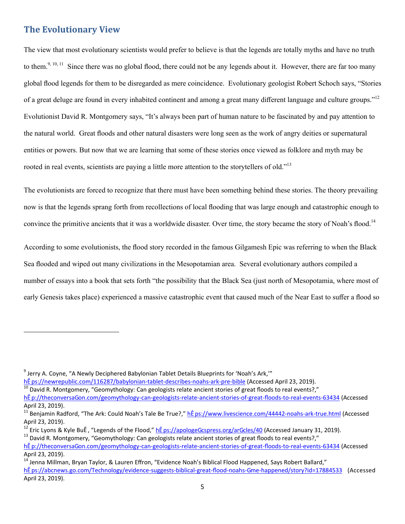#### **The Evolutionary View**

The view that most evolutionary scientists would prefer to believe is that the legends are totally myths and have no truth to them.<sup>9, 10, 11</sup> Since there was no global flood, there could not be any legends about it. However, there are far too many global flood legends for them to be disregarded as mere coincidence. Evolutionary geologist Robert Schoch says, "Stories of a great deluge are found in every inhabited continent and among a great many different language and culture groups."<sup>12</sup> Evolutionist David R. Montgomery says, "It's always been part of human nature to be fascinated by and pay attention to the natural world. Great floods and other natural disasters were long seen as the work of angry deities or supernatural entities or powers. But now that we are learning that some of these stories once viewed as folklore and myth may be rooted in real events, scientists are paying a little more attention to the storytellers of old."<sup>13</sup>

The evolutionists are forced to recognize that there must have been something behind these stories. The theory prevailing now is that the legends sprang forth from recollections of local flooding that was large enough and catastrophic enough to convince the primitive ancients that it was a worldwide disaster. Over time, the story became the story of Noah's flood.<sup>14</sup>

According to some evolutionists, the flood story recorded in the famous Gilgamesh Epic was referring to when the Black Sea flooded and wiped out many civilizations in the Mesopotamian area. Several evolutionary authors compiled a number of essays into a book that sets forth "the possibility that the Black Sea (just north of Mesopotamia, where most of early Genesis takes place) experienced a massive catastrophic event that caused much of the Near East to suffer a flood so

<sup>&</sup>lt;sup>9</sup> Jerry A. Coyne, "A Newly Deciphered Babylonian Tablet Details Blueprints for 'Noah's Ark,'"

hÊ ps://newrepublic.com/116287/babylonian-tablet-describes-noahs-ark-pre-bible (Accessed April 23, 2019).

David R. Montgomery, "Geomythology: Can geologists relate ancient stories of great floods to real events?,"

hÊ p://theconversaGon.com/geomythology-can-geologists-relate-ancient-stories-of-great-floods-to-real-events-63434 (Accessed April 23, 2019).

<sup>&</sup>lt;sup>11</sup> Benjamin Radford, "The Ark: Could Noah's Tale Be True?," <u>hÊ ps://www.livescience.com/44442-noahs-ark-true.html</u> (Accessed April 23, 2019).

Eric Lyons & Kyle BuÊ, "Legends of the Flood," hÊ ps://apologeGcspress.org/arGcles/40 (Accessed January 31, 2019). <sup>13</sup> David R. Montgomery, "Geomythology: Can geologists relate ancient stories of great floods to real events?,"

hÊ p://theconversaGon.com/geomythology-can-geologists-relate-ancient-stories-of-great-floods-to-real-events-63434 (Accessed April 23, 2019).

<sup>&</sup>lt;sup>14</sup> Jenna Millman, Bryan Taylor, & Lauren Effron, "Evidence Noah's Biblical Flood Happened, Says Robert Ballard," hÊ ps://abcnews.go.com/Technology/evidence-suggests-biblical-great-flood-noahs-Gme-happened/story?id=17884533 (Accessed April 23, 2019).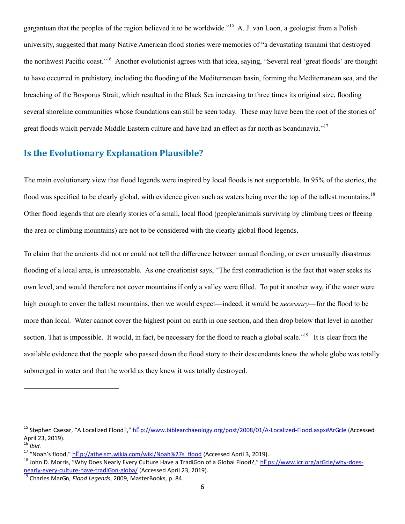gargantuan that the peoples of the region believed it to be worldwide."<sup>15</sup> A. J. van Loon, a geologist from a Polish university, suggested that many Native American flood stories were memories of "a devastating tsunami that destroyed the northwest Pacific coast."<sup>16</sup> Another evolutionist agrees with that idea, saying, "Several real 'great floods' are thought to have occurred in prehistory, including the flooding of the Mediterranean basin, forming the Mediterranean sea, and the breaching of the Bosporus Strait, which resulted in the Black Sea increasing to three times its original size, flooding several shoreline communities whose foundations can still be seen today. These may have been the root of the stories of great floods which pervade Middle Eastern culture and have had an effect as far north as Scandinavia."<sup>17</sup>

### **Is the Evolutionary Explanation Plausible?**

The main evolutionary view that flood legends were inspired by local floods is not supportable. In 95% of the stories, the flood was specified to be clearly global, with evidence given such as waters being over the top of the tallest mountains.<sup>18</sup> Other flood legends that are clearly stories of a small, local flood (people/animals surviving by climbing trees or fleeing the area or climbing mountains) are not to be considered with the clearly global flood legends.

To claim that the ancients did not or could not tell the difference between annual flooding, or even unusually disastrous flooding of a local area, is unreasonable. As one creationist says, "The first contradiction is the fact that water seeks its own level, and would therefore not cover mountains if only a valley were filled. To put it another way, if the water were high enough to cover the tallest mountains, then we would expect—indeed, it would be *necessary*—for the flood to be more than local. Water cannot cover the highest point on earth in one section, and then drop below that level in another section. That is impossible. It would, in fact, be necessary for the flood to reach a global scale."<sup>19</sup> It is clear from the available evidence that the people who passed down the flood story to their descendants knew the whole globe was totally submerged in water and that the world as they knew it was totally destroyed.

<sup>&</sup>lt;sup>15</sup> Stephen Caesar, "A Localized Flood?," hÊ p://www.biblearchaeology.org/post/2008/01/A-Localized-Flood.aspx#ArGcle (Accessed April 23, 2019).

<sup>16</sup> *Ibid.*

<sup>17 &</sup>quot;Noah's flood," he p://atheism.wikia.com/wiki/Noah%27s\_flood (Accessed April 3, 2019).

<sup>&</sup>lt;sup>18</sup> John D. Morris, "Why Does Nearly Every Culture Have a TradiGon of a Global Flood?," hE ps://www.icr.org/arGcle/why-doesnearly-every-culture-have-tradiGon-globa/ (Accessed April 23, 2019).

<sup>19</sup> Charles MarGn, *Flood Legends*, 2009, MasterBooks, p. 84.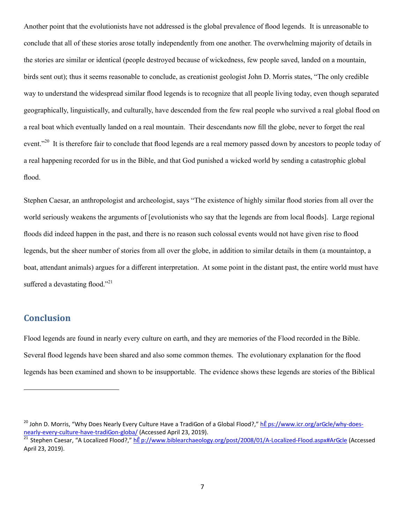Another point that the evolutionists have not addressed is the global prevalence of flood legends. It is unreasonable to conclude that all of these stories arose totally independently from one another. The overwhelming majority of details in the stories are similar or identical (people destroyed because of wickedness, few people saved, landed on a mountain, birds sent out); thus it seems reasonable to conclude, as creationist geologist John D. Morris states, "The only credible way to understand the widespread similar flood legends is to recognize that all people living today, even though separated geographically, linguistically, and culturally, have descended from the few real people who survived a real global flood on a real boat which eventually landed on a real mountain. Their descendants now fill the globe, never to forget the real event."<sup>20</sup> It is therefore fair to conclude that flood legends are a real memory passed down by ancestors to people today of a real happening recorded for us in the Bible, and that God punished a wicked world by sending a catastrophic global flood.

Stephen Caesar, an anthropologist and archeologist, says "The existence of highly similar flood stories from all over the world seriously weakens the arguments of [evolutionists who say that the legends are from local floods]. Large regional floods did indeed happen in the past, and there is no reason such colossal events would not have given rise to flood legends, but the sheer number of stories from all over the globe, in addition to similar details in them (a mountaintop, a boat, attendant animals) argues for a different interpretation. At some point in the distant past, the entire world must have suffered a devastating flood."<sup>21</sup>

### **Conclusion**

Flood legends are found in nearly every culture on earth, and they are memories of the Flood recorded in the Bible. Several flood legends have been shared and also some common themes. The evolutionary explanation for the flood legends has been examined and shown to be insupportable. The evidence shows these legends are stories of the Biblical

<sup>&</sup>lt;sup>20</sup> John D. Morris, "Why Does Nearly Every Culture Have a TradiGon of a Global Flood?," hÊ ps://www.icr.org/arGcle/why-doesnearly-every-culture-have-tradiGon-globa/ (Accessed April 23, 2019).

Stephen Caesar, "A Localized Flood?," hÊ p://www.biblearchaeology.org/post/2008/01/A-Localized-Flood.aspx#ArGcle (Accessed April 23, 2019).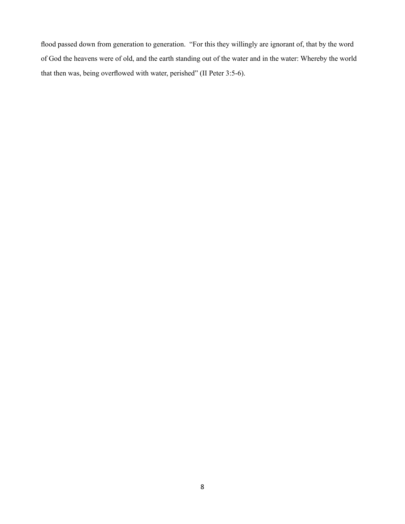flood passed down from generation to generation. "For this they willingly are ignorant of, that by the word of God the heavens were of old, and the earth standing out of the water and in the water: Whereby the world that then was, being overflowed with water, perished" (II Peter 3:5-6).